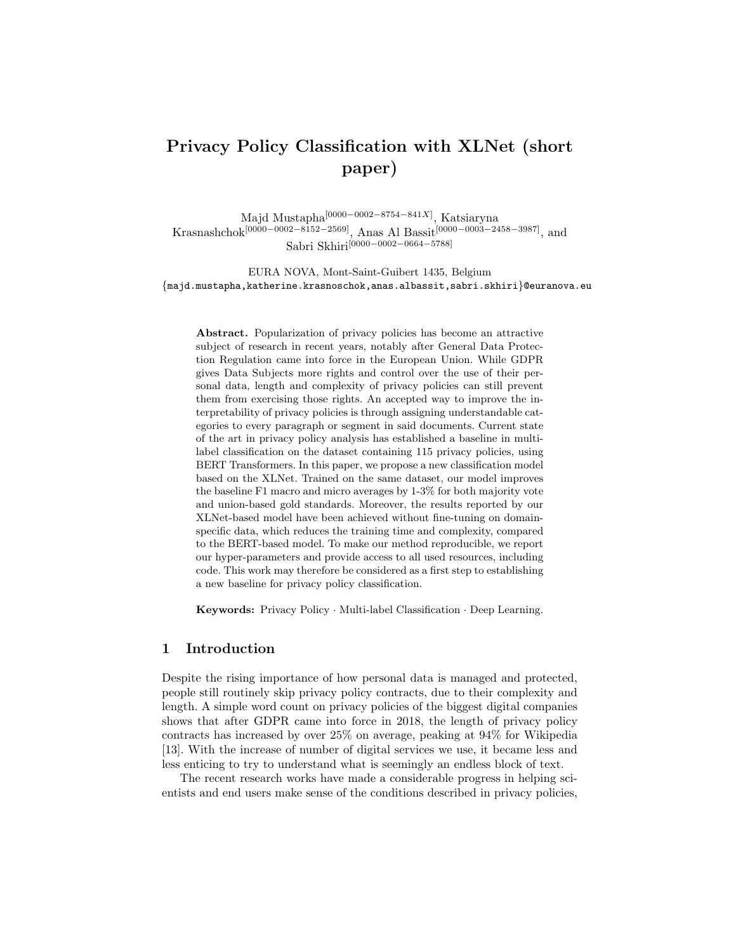# Privacy Policy Classification with XLNet (short paper)

Majd Mustapha[0000−0002−8754−841X] , Katsiaryna Krasnashchok[0000−0002−8152−2569], Anas Al Bassit[0000−0003−2458−3987], and Sabri Skhiri[0000−0002−0664−5788]

EURA NOVA, Mont-Saint-Guibert 1435, Belgium {majd.mustapha,katherine.krasnoschok,anas.albassit,sabri.skhiri}@euranova.eu

Abstract. Popularization of privacy policies has become an attractive subject of research in recent years, notably after General Data Protection Regulation came into force in the European Union. While GDPR gives Data Subjects more rights and control over the use of their personal data, length and complexity of privacy policies can still prevent them from exercising those rights. An accepted way to improve the interpretability of privacy policies is through assigning understandable categories to every paragraph or segment in said documents. Current state of the art in privacy policy analysis has established a baseline in multilabel classification on the dataset containing 115 privacy policies, using BERT Transformers. In this paper, we propose a new classification model based on the XLNet. Trained on the same dataset, our model improves the baseline F1 macro and micro averages by 1-3% for both majority vote and union-based gold standards. Moreover, the results reported by our XLNet-based model have been achieved without fine-tuning on domainspecific data, which reduces the training time and complexity, compared to the BERT-based model. To make our method reproducible, we report our hyper-parameters and provide access to all used resources, including code. This work may therefore be considered as a first step to establishing a new baseline for privacy policy classification.

Keywords: Privacy Policy · Multi-label Classification · Deep Learning.

### 1 Introduction

Despite the rising importance of how personal data is managed and protected, people still routinely skip privacy policy contracts, due to their complexity and length. A simple word count on privacy policies of the biggest digital companies shows that after GDPR came into force in 2018, the length of privacy policy contracts has increased by over 25% on average, peaking at 94% for Wikipedia [13]. With the increase of number of digital services we use, it became less and less enticing to try to understand what is seemingly an endless block of text.

The recent research works have made a considerable progress in helping scientists and end users make sense of the conditions described in privacy policies,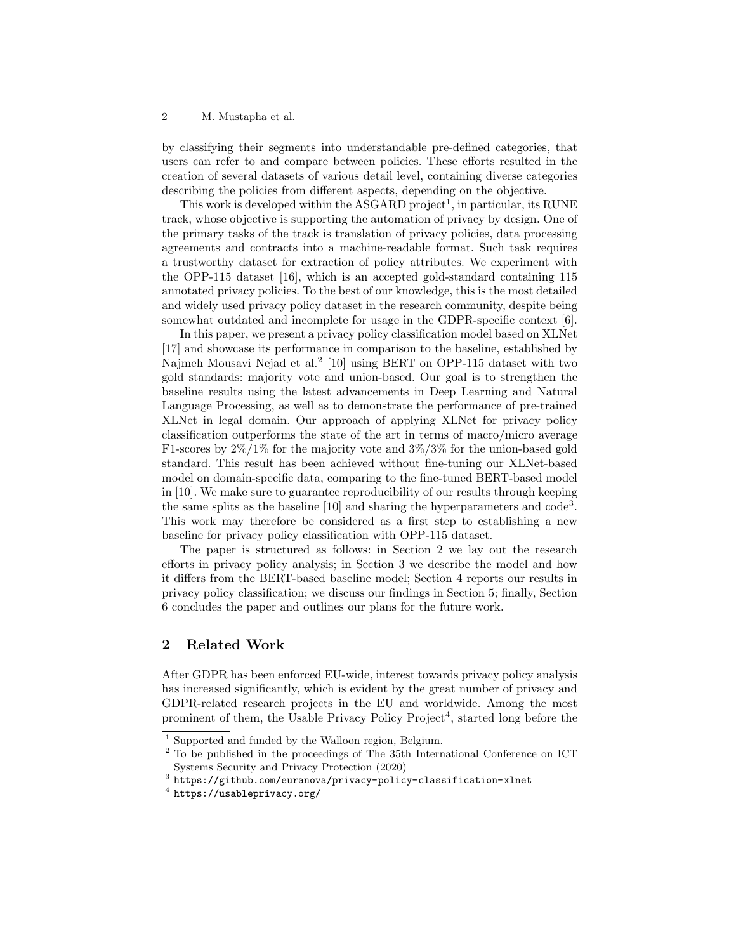#### 2 M. Mustapha et al.

by classifying their segments into understandable pre-defined categories, that users can refer to and compare between policies. These efforts resulted in the creation of several datasets of various detail level, containing diverse categories describing the policies from different aspects, depending on the objective.

This work is developed within the ASGARD project<sup>1</sup>, in particular, its RUNE track, whose objective is supporting the automation of privacy by design. One of the primary tasks of the track is translation of privacy policies, data processing agreements and contracts into a machine-readable format. Such task requires a trustworthy dataset for extraction of policy attributes. We experiment with the OPP-115 dataset [16], which is an accepted gold-standard containing 115 annotated privacy policies. To the best of our knowledge, this is the most detailed and widely used privacy policy dataset in the research community, despite being somewhat outdated and incomplete for usage in the GDPR-specific context [6].

In this paper, we present a privacy policy classification model based on XLNet [17] and showcase its performance in comparison to the baseline, established by Najmeh Mousavi Nejad et al.<sup>2</sup> [10] using BERT on OPP-115 dataset with two gold standards: majority vote and union-based. Our goal is to strengthen the baseline results using the latest advancements in Deep Learning and Natural Language Processing, as well as to demonstrate the performance of pre-trained XLNet in legal domain. Our approach of applying XLNet for privacy policy classification outperforms the state of the art in terms of macro/micro average F1-scores by  $2\%/1\%$  for the majority vote and  $3\%/3\%$  for the union-based gold standard. This result has been achieved without fine-tuning our XLNet-based model on domain-specific data, comparing to the fine-tuned BERT-based model in [10]. We make sure to guarantee reproducibility of our results through keeping the same splits as the baseline  $[10]$  and sharing the hyperparameters and code<sup>3</sup>. This work may therefore be considered as a first step to establishing a new baseline for privacy policy classification with OPP-115 dataset.

The paper is structured as follows: in Section 2 we lay out the research efforts in privacy policy analysis; in Section 3 we describe the model and how it differs from the BERT-based baseline model; Section 4 reports our results in privacy policy classification; we discuss our findings in Section 5; finally, Section 6 concludes the paper and outlines our plans for the future work.

## 2 Related Work

After GDPR has been enforced EU-wide, interest towards privacy policy analysis has increased significantly, which is evident by the great number of privacy and GDPR-related research projects in the EU and worldwide. Among the most prominent of them, the Usable Privacy Policy Project<sup>4</sup>, started long before the

<sup>&</sup>lt;sup>1</sup> Supported and funded by the Walloon region, Belgium.

<sup>&</sup>lt;sup>2</sup> To be published in the proceedings of The 35th International Conference on ICT Systems Security and Privacy Protection (2020)

 $^3$  https://github.com/euranova/privacy-policy-classification-xlnet

 $^4$  https://usableprivacy.org/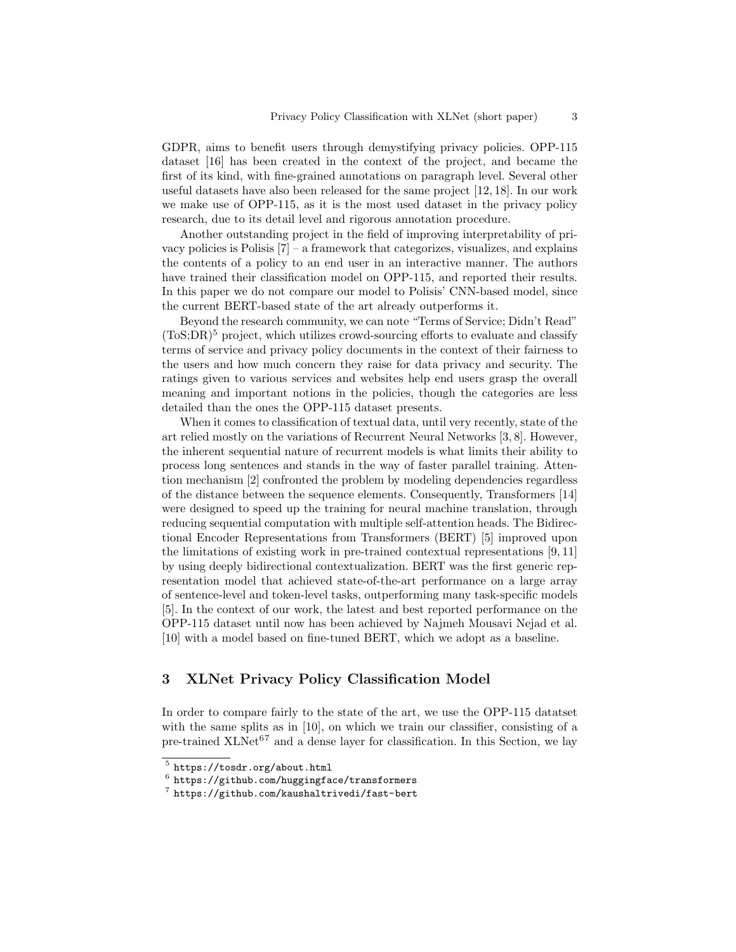GDPR, aims to benefit users through demystifying privacy policies. OPP-115 dataset [16] has been created in the context of the project, and became the first of its kind, with fine-grained annotations on paragraph level. Several other useful datasets have also been released for the same project [12, 18]. In our work we make use of OPP-115, as it is the most used dataset in the privacy policy research, due to its detail level and rigorous annotation procedure.

Another outstanding project in the field of improving interpretability of privacy policies is Polisis [7] – a framework that categorizes, visualizes, and explains the contents of a policy to an end user in an interactive manner. The authors have trained their classification model on OPP-115, and reported their results. In this paper we do not compare our model to Polisis' CNN-based model, since the current BERT-based state of the art already outperforms it.

Beyond the research community, we can note "Terms of Service; Didn't Read"  $(ToS;DR)^5$  project, which utilizes crowd-sourcing efforts to evaluate and classify terms of service and privacy policy documents in the context of their fairness to the users and how much concern they raise for data privacy and security. The ratings given to various services and websites help end users grasp the overall meaning and important notions in the policies, though the categories are less detailed than the ones the OPP-115 dataset presents.

When it comes to classification of textual data, until very recently, state of the art relied mostly on the variations of Recurrent Neural Networks [3, 8]. However, the inherent sequential nature of recurrent models is what limits their ability to process long sentences and stands in the way of faster parallel training. Attention mechanism [2] confronted the problem by modeling dependencies regardless of the distance between the sequence elements. Consequently, Transformers [14] were designed to speed up the training for neural machine translation, through reducing sequential computation with multiple self-attention heads. The Bidirectional Encoder Representations from Transformers (BERT) [5] improved upon the limitations of existing work in pre-trained contextual representations [9, 11] by using deeply bidirectional contextualization. BERT was the first generic representation model that achieved state-of-the-art performance on a large array of sentence-level and token-level tasks, outperforming many task-specific models [5]. In the context of our work, the latest and best reported performance on the OPP-115 dataset until now has been achieved by Najmeh Mousavi Nejad et al. [10] with a model based on fine-tuned BERT, which we adopt as a baseline.

## 3 XLNet Privacy Policy Classification Model

In order to compare fairly to the state of the art, we use the OPP-115 datatset with the same splits as in [10], on which we train our classifier, consisting of a pre-trained  $XLNet^{67}$  and a dense layer for classification. In this Section, we lay

<sup>5</sup> https://tosdr.org/about.html

 $^6$  https://github.com/huggingface/transformers

<sup>7</sup> https://github.com/kaushaltrivedi/fast-bert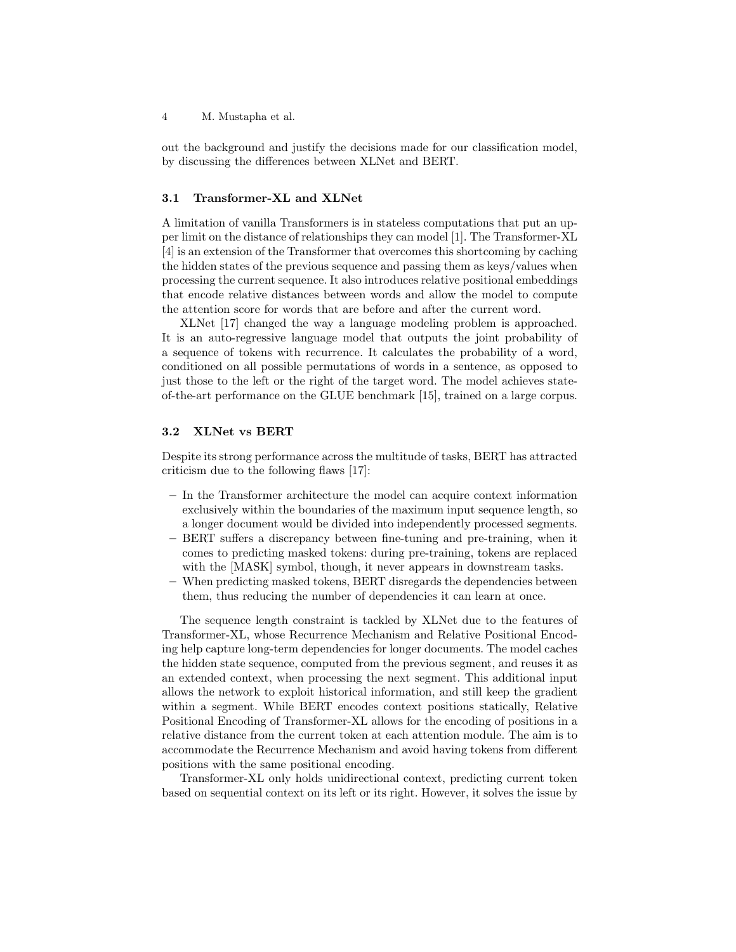4 M. Mustapha et al.

out the background and justify the decisions made for our classification model, by discussing the differences between XLNet and BERT.

## 3.1 Transformer-XL and XLNet

A limitation of vanilla Transformers is in stateless computations that put an upper limit on the distance of relationships they can model [1]. The Transformer-XL [4] is an extension of the Transformer that overcomes this shortcoming by caching the hidden states of the previous sequence and passing them as keys/values when processing the current sequence. It also introduces relative positional embeddings that encode relative distances between words and allow the model to compute the attention score for words that are before and after the current word.

XLNet [17] changed the way a language modeling problem is approached. It is an auto-regressive language model that outputs the joint probability of a sequence of tokens with recurrence. It calculates the probability of a word, conditioned on all possible permutations of words in a sentence, as opposed to just those to the left or the right of the target word. The model achieves stateof-the-art performance on the GLUE benchmark [15], trained on a large corpus.

#### 3.2 XLNet vs BERT

Despite its strong performance across the multitude of tasks, BERT has attracted criticism due to the following flaws [17]:

- In the Transformer architecture the model can acquire context information exclusively within the boundaries of the maximum input sequence length, so a longer document would be divided into independently processed segments.
- BERT suffers a discrepancy between fine-tuning and pre-training, when it comes to predicting masked tokens: during pre-training, tokens are replaced with the [MASK] symbol, though, it never appears in downstream tasks.
- When predicting masked tokens, BERT disregards the dependencies between them, thus reducing the number of dependencies it can learn at once.

The sequence length constraint is tackled by XLNet due to the features of Transformer-XL, whose Recurrence Mechanism and Relative Positional Encoding help capture long-term dependencies for longer documents. The model caches the hidden state sequence, computed from the previous segment, and reuses it as an extended context, when processing the next segment. This additional input allows the network to exploit historical information, and still keep the gradient within a segment. While BERT encodes context positions statically, Relative Positional Encoding of Transformer-XL allows for the encoding of positions in a relative distance from the current token at each attention module. The aim is to accommodate the Recurrence Mechanism and avoid having tokens from different positions with the same positional encoding.

Transformer-XL only holds unidirectional context, predicting current token based on sequential context on its left or its right. However, it solves the issue by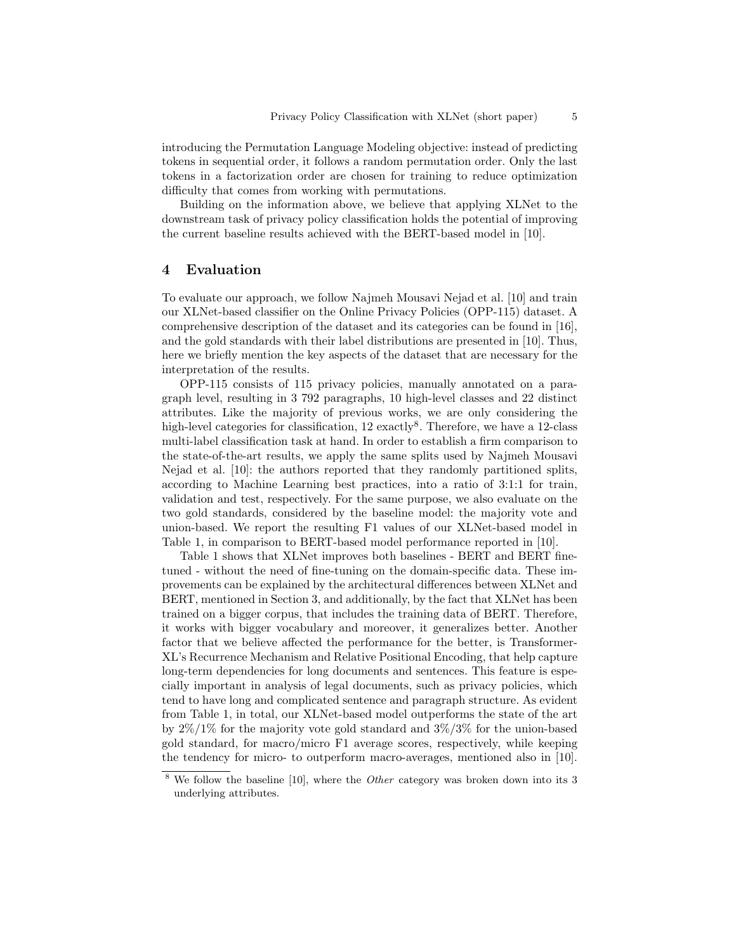introducing the Permutation Language Modeling objective: instead of predicting tokens in sequential order, it follows a random permutation order. Only the last tokens in a factorization order are chosen for training to reduce optimization difficulty that comes from working with permutations.

Building on the information above, we believe that applying XLNet to the downstream task of privacy policy classification holds the potential of improving the current baseline results achieved with the BERT-based model in [10].

## 4 Evaluation

To evaluate our approach, we follow Najmeh Mousavi Nejad et al. [10] and train our XLNet-based classifier on the Online Privacy Policies (OPP-115) dataset. A comprehensive description of the dataset and its categories can be found in [16], and the gold standards with their label distributions are presented in [10]. Thus, here we briefly mention the key aspects of the dataset that are necessary for the interpretation of the results.

OPP-115 consists of 115 privacy policies, manually annotated on a paragraph level, resulting in 3 792 paragraphs, 10 high-level classes and 22 distinct attributes. Like the majority of previous works, we are only considering the high-level categories for classification, 12 exactly<sup>8</sup>. Therefore, we have a 12-class multi-label classification task at hand. In order to establish a firm comparison to the state-of-the-art results, we apply the same splits used by Najmeh Mousavi Nejad et al. [10]: the authors reported that they randomly partitioned splits, according to Machine Learning best practices, into a ratio of 3:1:1 for train, validation and test, respectively. For the same purpose, we also evaluate on the two gold standards, considered by the baseline model: the majority vote and union-based. We report the resulting F1 values of our XLNet-based model in Table 1, in comparison to BERT-based model performance reported in [10].

Table 1 shows that XLNet improves both baselines - BERT and BERT finetuned - without the need of fine-tuning on the domain-specific data. These improvements can be explained by the architectural differences between XLNet and BERT, mentioned in Section 3, and additionally, by the fact that XLNet has been trained on a bigger corpus, that includes the training data of BERT. Therefore, it works with bigger vocabulary and moreover, it generalizes better. Another factor that we believe affected the performance for the better, is Transformer-XL's Recurrence Mechanism and Relative Positional Encoding, that help capture long-term dependencies for long documents and sentences. This feature is especially important in analysis of legal documents, such as privacy policies, which tend to have long and complicated sentence and paragraph structure. As evident from Table 1, in total, our XLNet-based model outperforms the state of the art by 2%/1% for the majority vote gold standard and 3%/3% for the union-based gold standard, for macro/micro F1 average scores, respectively, while keeping the tendency for micro- to outperform macro-averages, mentioned also in [10].

 $8$  We follow the baseline [10], where the *Other* category was broken down into its 3 underlying attributes.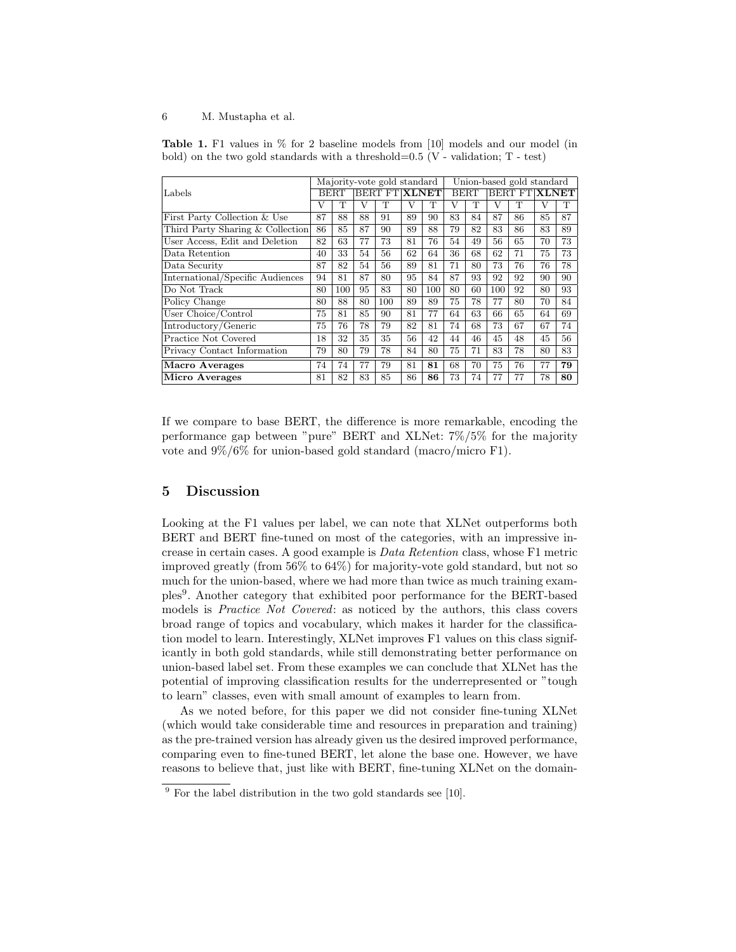#### 6 M. Mustapha et al.

**Table 1.** F1 values in  $\%$  for 2 baseline models from [10] models and our model (in bold) on the two gold standards with a threshold=0.5 (V - validation; T - test)

|                                  | Majority-vote gold standard |      |    |                |    |              | Union-based gold standard |      |     |                |    |              |  |
|----------------------------------|-----------------------------|------|----|----------------|----|--------------|---------------------------|------|-----|----------------|----|--------------|--|
| Labels                           |                             | BERT |    | <b>BERT FT</b> |    | <b>XLNET</b> |                           | BERT |     | <b>BERT FT</b> |    | <b>XLNET</b> |  |
|                                  |                             | Т    |    | T              |    | т            |                           | T    |     | т              |    | т            |  |
| First Party Collection & Use     | 87                          | 88   | 88 | 91             | 89 | 90           | 83                        | 84   | 87  | 86             | 85 | 87           |  |
| Third Party Sharing & Collection | 86                          | 85   | 87 | 90             | 89 | 88           | 79                        | 82   | 83  | 86             | 83 | 89           |  |
| User Access, Edit and Deletion   | 82                          | 63   | 77 | 73             | 81 | 76           | 54                        | 49   | 56  | 65             | 70 | 73           |  |
| Data Retention                   | 40                          | 33   | 54 | 56             | 62 | 64           | 36                        | 68   | 62  | 71             | 75 | 73           |  |
| Data Security                    | 87                          | 82   | 54 | 56             | 89 | 81           | 71                        | 80   | 73  | 76             | 76 | 78           |  |
| International/Specific Audiences | 94                          | 81   | 87 | 80             | 95 | 84           | 87                        | 93   | 92  | 92             | 90 | 90           |  |
| Do Not Track                     | 80                          | 100  | 95 | 83             | 80 | 100          | 80                        | 60   | 100 | 92             | 80 | 93           |  |
| Policy Change                    | 80                          | 88   | 80 | 100            | 89 | 89           | 75                        | 78   | 77  | 80             | 70 | 84           |  |
| User Choice/Control              | 75                          | 81   | 85 | 90             | 81 | 77           | 64                        | 63   | 66  | 65             | 64 | 69           |  |
| Introductory/Generic             | 75                          | 76   | 78 | 79             | 82 | 81           | 74                        | 68   | 73  | 67             | 67 | 74           |  |
| Practice Not Covered             | 18                          | 32   | 35 | 35             | 56 | 42           | 44                        | 46   | 45  | 48             | 45 | 56           |  |
| Privacy Contact Information      | 79                          | 80   | 79 | 78             | 84 | 80           | 75                        | 71   | 83  | 78             | 80 | 83           |  |
| <b>Macro Averages</b>            | 74                          | 74   | 77 | 79             | 81 | 81           | 68                        | 70   | 75  | 76             | 77 | 79           |  |
| Micro Averages                   | 81                          | 82   | 83 | 85             | 86 | 86           | 73                        | 74   | 77  | 77             | 78 | 80           |  |

If we compare to base BERT, the difference is more remarkable, encoding the performance gap between "pure" BERT and XLNet: 7%/5% for the majority vote and 9%/6% for union-based gold standard (macro/micro F1).

## 5 Discussion

Looking at the F1 values per label, we can note that XLNet outperforms both BERT and BERT fine-tuned on most of the categories, with an impressive increase in certain cases. A good example is Data Retention class, whose F1 metric improved greatly (from 56% to 64%) for majority-vote gold standard, but not so much for the union-based, where we had more than twice as much training examples<sup>9</sup> . Another category that exhibited poor performance for the BERT-based models is *Practice Not Covered*: as noticed by the authors, this class covers broad range of topics and vocabulary, which makes it harder for the classification model to learn. Interestingly, XLNet improves F1 values on this class significantly in both gold standards, while still demonstrating better performance on union-based label set. From these examples we can conclude that XLNet has the potential of improving classification results for the underrepresented or "tough to learn" classes, even with small amount of examples to learn from.

As we noted before, for this paper we did not consider fine-tuning XLNet (which would take considerable time and resources in preparation and training) as the pre-trained version has already given us the desired improved performance, comparing even to fine-tuned BERT, let alone the base one. However, we have reasons to believe that, just like with BERT, fine-tuning XLNet on the domain-

 $\frac{9}{9}$  For the label distribution in the two gold standards see [10].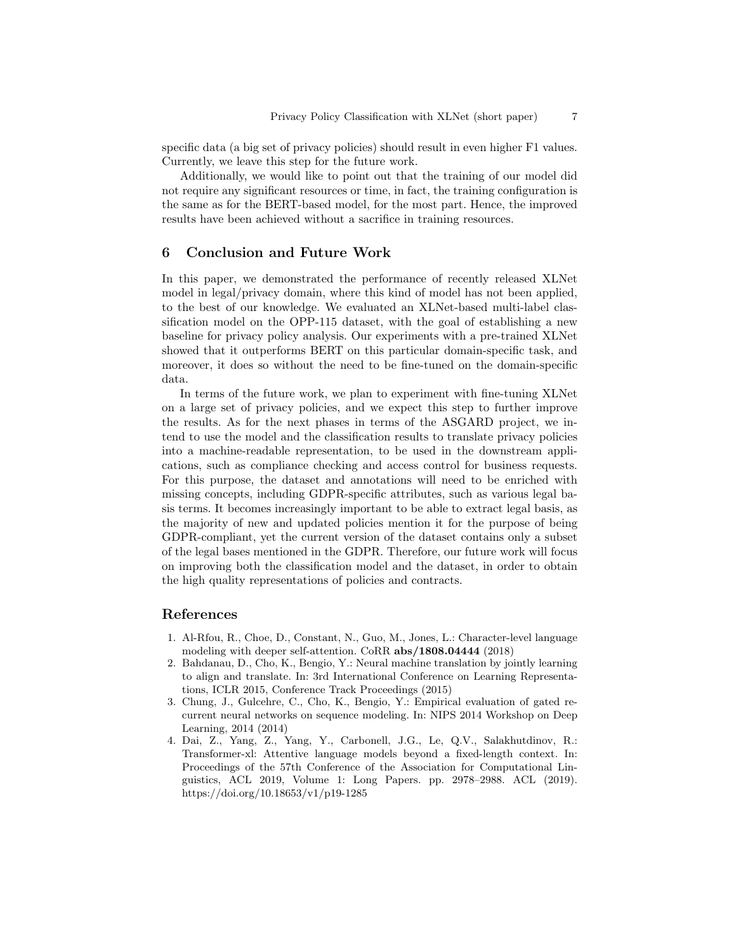specific data (a big set of privacy policies) should result in even higher F1 values. Currently, we leave this step for the future work.

Additionally, we would like to point out that the training of our model did not require any significant resources or time, in fact, the training configuration is the same as for the BERT-based model, for the most part. Hence, the improved results have been achieved without a sacrifice in training resources.

# 6 Conclusion and Future Work

In this paper, we demonstrated the performance of recently released XLNet model in legal/privacy domain, where this kind of model has not been applied, to the best of our knowledge. We evaluated an XLNet-based multi-label classification model on the OPP-115 dataset, with the goal of establishing a new baseline for privacy policy analysis. Our experiments with a pre-trained XLNet showed that it outperforms BERT on this particular domain-specific task, and moreover, it does so without the need to be fine-tuned on the domain-specific data.

In terms of the future work, we plan to experiment with fine-tuning XLNet on a large set of privacy policies, and we expect this step to further improve the results. As for the next phases in terms of the ASGARD project, we intend to use the model and the classification results to translate privacy policies into a machine-readable representation, to be used in the downstream applications, such as compliance checking and access control for business requests. For this purpose, the dataset and annotations will need to be enriched with missing concepts, including GDPR-specific attributes, such as various legal basis terms. It becomes increasingly important to be able to extract legal basis, as the majority of new and updated policies mention it for the purpose of being GDPR-compliant, yet the current version of the dataset contains only a subset of the legal bases mentioned in the GDPR. Therefore, our future work will focus on improving both the classification model and the dataset, in order to obtain the high quality representations of policies and contracts.

## References

- 1. Al-Rfou, R., Choe, D., Constant, N., Guo, M., Jones, L.: Character-level language modeling with deeper self-attention. CoRR abs/1808.04444 (2018)
- 2. Bahdanau, D., Cho, K., Bengio, Y.: Neural machine translation by jointly learning to align and translate. In: 3rd International Conference on Learning Representations, ICLR 2015, Conference Track Proceedings (2015)
- 3. Chung, J., Gulcehre, C., Cho, K., Bengio, Y.: Empirical evaluation of gated recurrent neural networks on sequence modeling. In: NIPS 2014 Workshop on Deep Learning, 2014 (2014)
- 4. Dai, Z., Yang, Z., Yang, Y., Carbonell, J.G., Le, Q.V., Salakhutdinov, R.: Transformer-xl: Attentive language models beyond a fixed-length context. In: Proceedings of the 57th Conference of the Association for Computational Linguistics, ACL 2019, Volume 1: Long Papers. pp. 2978–2988. ACL (2019). https://doi.org/10.18653/v1/p19-1285